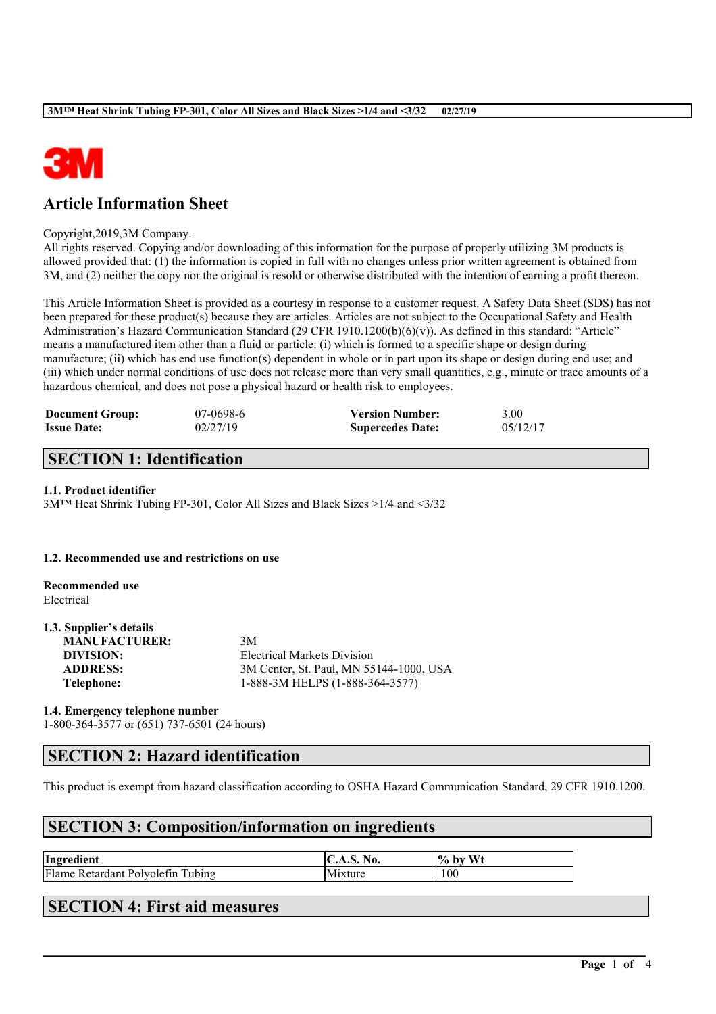

# **Article Information Sheet**

### Copyright,2019,3M Company.

All rights reserved. Copying and/or downloading of this information for the purpose of properly utilizing 3M products is allowed provided that: (1) the information is copied in full with no changes unless prior written agreement is obtained from 3M, and (2) neither the copy nor the original is resold or otherwise distributed with the intention of earning a profit thereon.

This Article Information Sheet is provided as a courtesy in response to a customer request. A Safety Data Sheet (SDS) has not been prepared for these product(s) because they are articles. Articles are not subject to the Occupational Safety and Health Administration's Hazard Communication Standard (29 CFR 1910.1200(b)(6)(v)). As defined in this standard: "Article" means a manufactured item other than a fluid or particle: (i) which is formed to a specific shape or design during manufacture; (ii) which has end use function(s) dependent in whole or in part upon its shape or design during end use; and (iii) which under normal conditions of use does not release more than very small quantities, e.g., minute or trace amounts of a hazardous chemical, and does not pose a physical hazard or health risk to employees.

| <b>Document Group:</b> | 07-0698-6 | <b>Version Number:</b>  | 3.00     |
|------------------------|-----------|-------------------------|----------|
| <b>Issue Date:</b>     | 02/27/19  | <b>Supercedes Date:</b> | 05/12/17 |

## **SECTION 1: Identification**

#### **1.1. Product identifier**

3M™ Heat Shrink Tubing FP-301, Color All Sizes and Black Sizes >1/4 and <3/32

#### **1.2. Recommended use and restrictions on use**

**Recommended use** Electrical

**1.3. Supplier's details**

| 1.3. Supplier's details |                                         |
|-------------------------|-----------------------------------------|
| <b>MANUFACTURER:</b>    | 3M                                      |
| DIVISION:               | Electrical Markets Division             |
| <b>ADDRESS:</b>         | 3M Center, St. Paul, MN 55144-1000, USA |
| Telephone:              | 1-888-3M HELPS (1-888-364-3577)         |
|                         |                                         |

### **1.4. Emergency telephone number**

1-800-364-3577 or (651) 737-6501 (24 hours)

### **SECTION 2: Hazard identification**

This product is exempt from hazard classification according to OSHA Hazard Communication Standard, 29 CFR 1910.1200.

 $\mathcal{L}_\mathcal{L} = \mathcal{L}_\mathcal{L} = \mathcal{L}_\mathcal{L} = \mathcal{L}_\mathcal{L} = \mathcal{L}_\mathcal{L} = \mathcal{L}_\mathcal{L} = \mathcal{L}_\mathcal{L} = \mathcal{L}_\mathcal{L} = \mathcal{L}_\mathcal{L} = \mathcal{L}_\mathcal{L} = \mathcal{L}_\mathcal{L} = \mathcal{L}_\mathcal{L} = \mathcal{L}_\mathcal{L} = \mathcal{L}_\mathcal{L} = \mathcal{L}_\mathcal{L} = \mathcal{L}_\mathcal{L} = \mathcal{L}_\mathcal{L}$ 

# **SECTION 3: Composition/information on ingredients**

| Ingredient                                       | No.     | <b>Wt</b><br>$\frac{10}{10}$<br>by |
|--------------------------------------------------|---------|------------------------------------|
| Flame<br>Tubing<br>tetardant Polvolefin<br>- R t | Mixture | 100                                |

### **SECTION 4: First aid measures**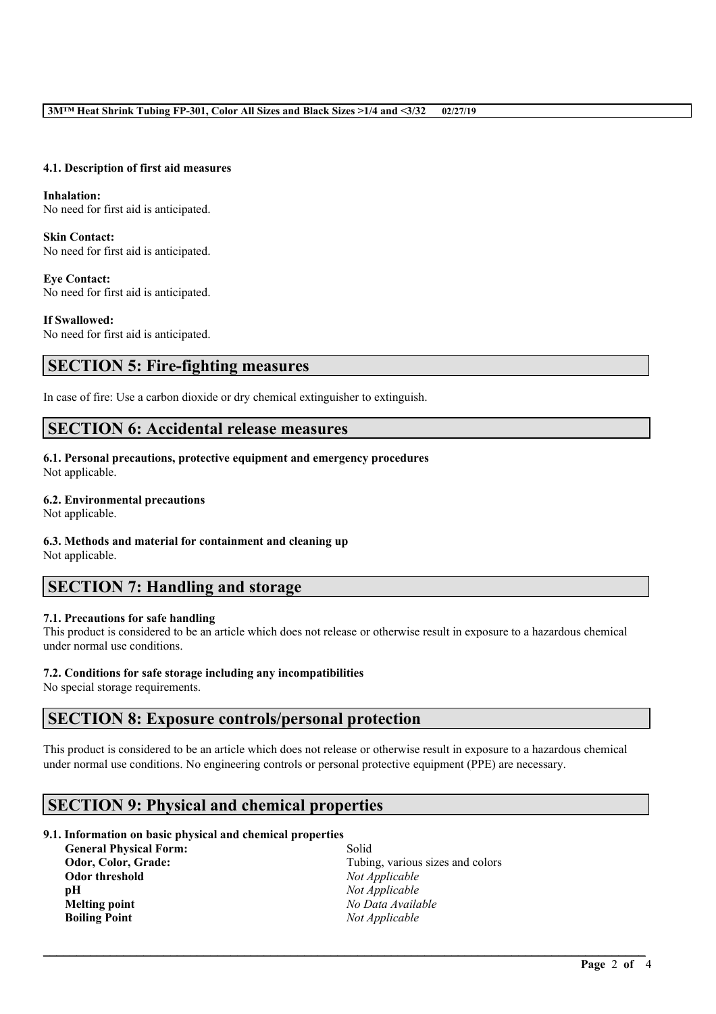#### **4.1. Description of first aid measures**

**Inhalation:** No need for first aid is anticipated.

**Skin Contact:** No need for first aid is anticipated.

**Eye Contact:** No need for first aid is anticipated.

**If Swallowed:** No need for first aid is anticipated.

### **SECTION 5: Fire-fighting measures**

In case of fire: Use a carbon dioxide or dry chemical extinguisher to extinguish.

### **SECTION 6: Accidental release measures**

# **6.1. Personal precautions, protective equipment and emergency procedures**

Not applicable.

### **6.2. Environmental precautions**

Not applicable.

### **6.3. Methods and material for containment and cleaning up**

Not applicable.

# **SECTION 7: Handling and storage**

### **7.1. Precautions for safe handling**

This product is considered to be an article which does not release or otherwise result in exposure to a hazardous chemical under normal use conditions.

### **7.2. Conditions for safe storage including any incompatibilities**

No special storage requirements.

### **SECTION 8: Exposure controls/personal protection**

This product is considered to be an article which does not release or otherwise result in exposure to a hazardous chemical under normal use conditions. No engineering controls or personal protective equipment (PPE) are necessary.

 $\mathcal{L}_\mathcal{L} = \mathcal{L}_\mathcal{L} = \mathcal{L}_\mathcal{L} = \mathcal{L}_\mathcal{L} = \mathcal{L}_\mathcal{L} = \mathcal{L}_\mathcal{L} = \mathcal{L}_\mathcal{L} = \mathcal{L}_\mathcal{L} = \mathcal{L}_\mathcal{L} = \mathcal{L}_\mathcal{L} = \mathcal{L}_\mathcal{L} = \mathcal{L}_\mathcal{L} = \mathcal{L}_\mathcal{L} = \mathcal{L}_\mathcal{L} = \mathcal{L}_\mathcal{L} = \mathcal{L}_\mathcal{L} = \mathcal{L}_\mathcal{L}$ 

### **SECTION 9: Physical and chemical properties**

### **9.1. Information on basic physical and chemical properties**

| <b>General Physical Form:</b> | Solid                            |
|-------------------------------|----------------------------------|
| Odor, Color, Grade:           | Tubing, various sizes and colors |
| Odor threshold                | Not Applicable                   |
| рH                            | Not Applicable                   |
| Melting point                 | No Data Available                |
| <b>Boiling Point</b>          | Not Applicable                   |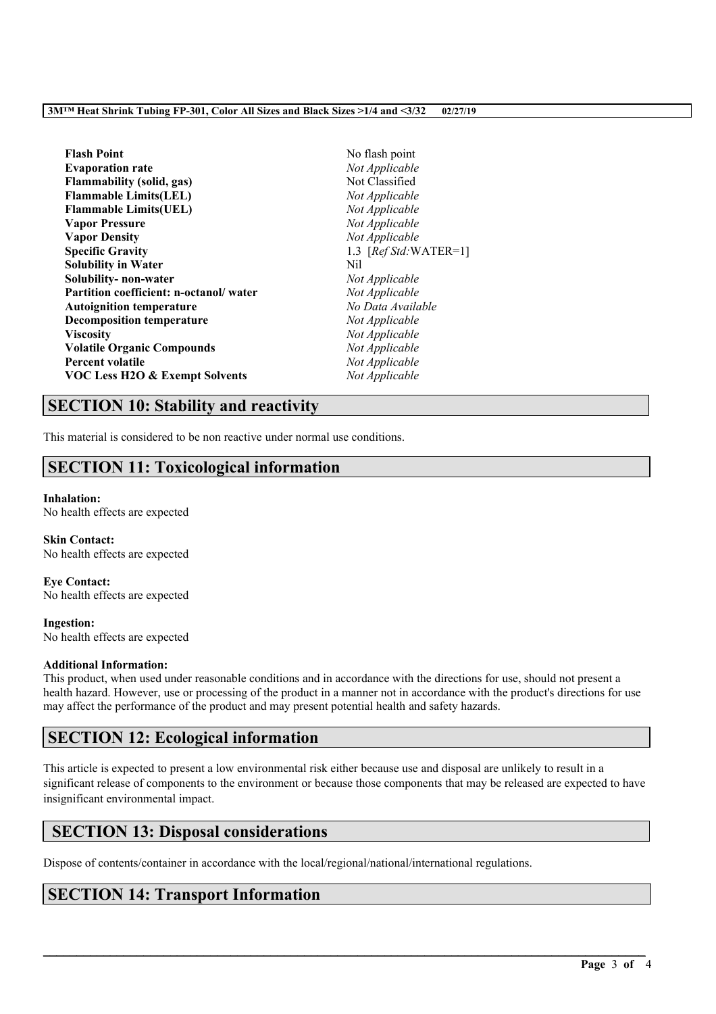#### **3M™ Heat Shrink Tubing FP-301, Color All Sizes and Black Sizes >1/4 and <3/32 02/27/19**

| <b>Flash Point</b>                        | No flash point         |
|-------------------------------------------|------------------------|
| <b>Evaporation rate</b>                   | Not Applicable         |
| Flammability (solid, gas)                 | Not Classified         |
| <b>Flammable Limits(LEL)</b>              | Not Applicable         |
| <b>Flammable Limits(UEL)</b>              | Not Applicable         |
| <b>Vapor Pressure</b>                     | Not Applicable         |
| <b>Vapor Density</b>                      | Not Applicable         |
| <b>Specific Gravity</b>                   | 1.3 $[RefStd:WATER=1]$ |
| <b>Solubility in Water</b>                | Nil                    |
| Solubility- non-water                     | Not Applicable         |
| Partition coefficient: n-octanol/water    | Not Applicable         |
| <b>Autoignition temperature</b>           | No Data Available      |
| <b>Decomposition temperature</b>          | Not Applicable         |
| Viscositv                                 | Not Applicable         |
| <b>Volatile Organic Compounds</b>         | Not Applicable         |
| <b>Percent volatile</b>                   | Not Applicable         |
| <b>VOC Less H2O &amp; Exempt Solvents</b> | Not Applicable         |

## **SECTION 10: Stability and reactivity**

This material is considered to be non reactive under normal use conditions.

## **SECTION 11: Toxicological information**

### **Inhalation:**

No health effects are expected

**Skin Contact:** No health effects are expected

**Eye Contact:** No health effects are expected

**Ingestion:** No health effects are expected

### **Additional Information:**

This product, when used under reasonable conditions and in accordance with the directions for use, should not present a health hazard. However, use or processing of the product in a manner not in accordance with the product's directions for use may affect the performance of the product and may present potential health and safety hazards.

# **SECTION 12: Ecological information**

This article is expected to present a low environmental risk either because use and disposal are unlikely to result in a significant release of components to the environment or because those components that may be released are expected to have insignificant environmental impact.

 $\mathcal{L}_\mathcal{L} = \mathcal{L}_\mathcal{L} = \mathcal{L}_\mathcal{L} = \mathcal{L}_\mathcal{L} = \mathcal{L}_\mathcal{L} = \mathcal{L}_\mathcal{L} = \mathcal{L}_\mathcal{L} = \mathcal{L}_\mathcal{L} = \mathcal{L}_\mathcal{L} = \mathcal{L}_\mathcal{L} = \mathcal{L}_\mathcal{L} = \mathcal{L}_\mathcal{L} = \mathcal{L}_\mathcal{L} = \mathcal{L}_\mathcal{L} = \mathcal{L}_\mathcal{L} = \mathcal{L}_\mathcal{L} = \mathcal{L}_\mathcal{L}$ 

### **SECTION 13: Disposal considerations**

Dispose of contents/container in accordance with the local/regional/national/international regulations.

# **SECTION 14: Transport Information**